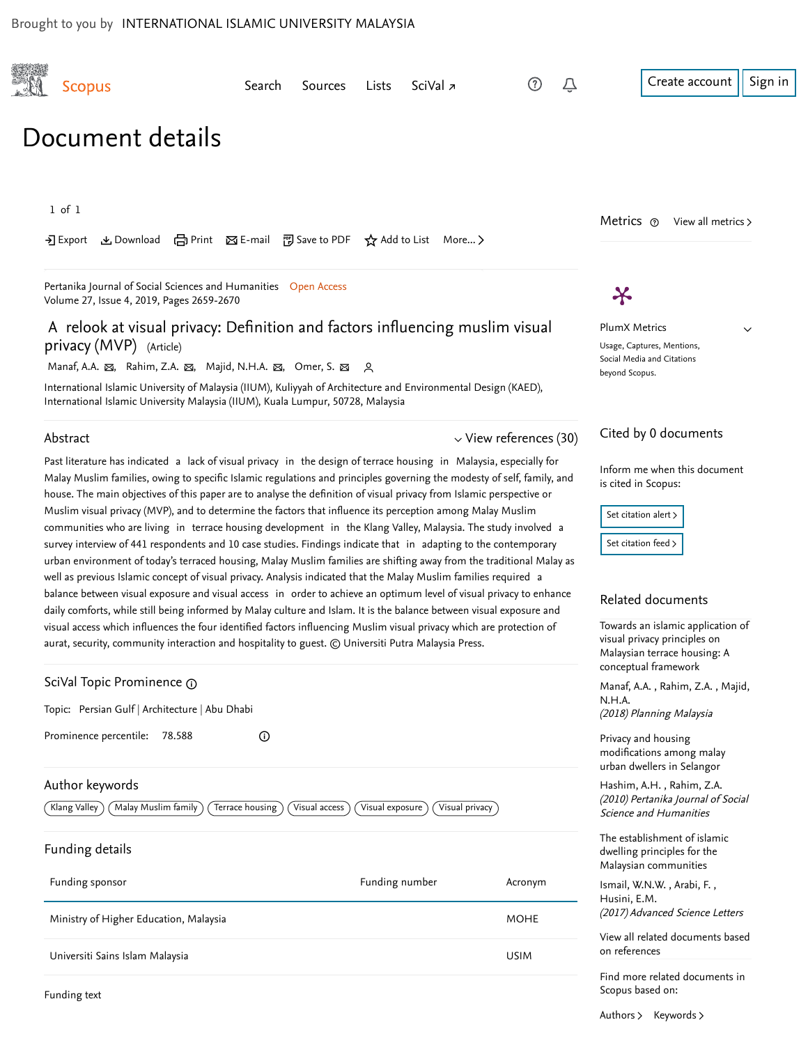

Universiti Sains Islam Malaysia USIM

Funding text

[Authors](https://www.scopus.com/search/submit/mlt.uri?eid=2-s2.0-85076803752&src=s&all=true&origin=recordpage&method=aut&zone=relatedDocuments) > [Keywords](https://www.scopus.com/search/submit/mlt.uri?eid=2-s2.0-85076803752&src=s&all=true&origin=recordpage&method=key&zone=relatedDocuments) >

Scopus based on:

on references

Find more related documents in

[View all related documents based](https://www.scopus.com/search/submit/mlt.uri?eid=2-s2.0-85076803752&src=s&all=true&origin=recordpage&method=ref&zone=relatedDocuments)